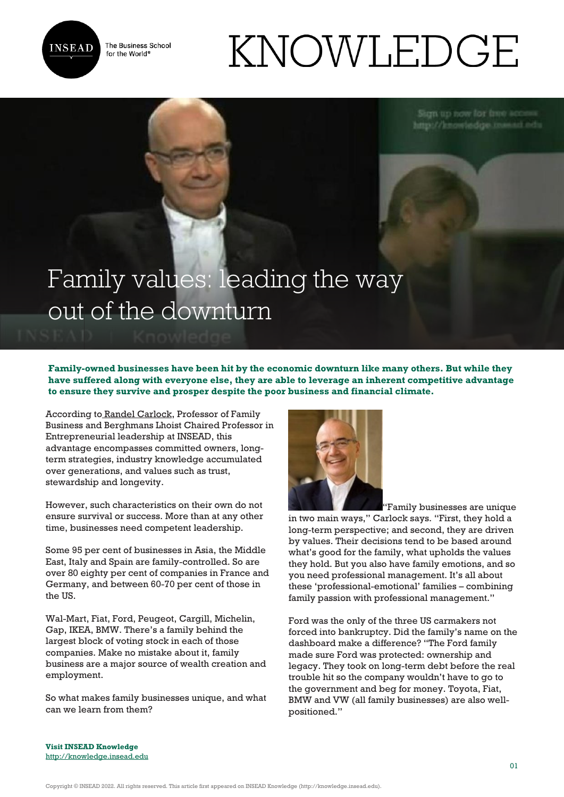

The Business School for the World<sup>®</sup>

# KNOWLEDGE

## Family values: leading the way out of the downturn

**Family-owned businesses have been hit by the economic downturn like many others. But while they have suffered along with everyone else, they are able to leverage an inherent competitive advantage to ensure they survive and prosper despite the poor business and financial climate.**

According to [Randel Carlock,](http://www.insead.edu/facultyresearch/faculty/profiles/rcarlock/) Professor of Family Business and Berghmans Lhoist Chaired Professor in Entrepreneurial leadership at INSEAD, this advantage encompasses committed owners, longterm strategies, industry knowledge accumulated over generations, and values such as trust, stewardship and longevity.

However, such characteristics on their own do not ensure survival or success. More than at any other time, businesses need competent leadership.

Some 95 per cent of businesses in Asia, the Middle East, Italy and Spain are family-controlled. So are over 80 eighty per cent of companies in France and Germany, and between 60-70 per cent of those in the US.

Wal-Mart, Fiat, Ford, Peugeot, Cargill, Michelin, Gap, IKEA, BMW. There's a family behind the largest block of voting stock in each of those companies. Make no mistake about it, family business are a major source of wealth creation and employment.

So what makes family businesses unique, and what can we learn from them?



"Family businesses are unique

in two main ways," Carlock says. "First, they hold a long-term perspective; and second, they are driven by values. Their decisions tend to be based around what's good for the family, what upholds the values they hold. But you also have family emotions, and so you need professional management. It's all about these 'professional-emotional' families – combining family passion with professional management."

Ford was the only of the three US carmakers not forced into bankruptcy. Did the family's name on the dashboard make a difference? "The Ford family made sure Ford was protected: ownership and legacy. They took on long-term debt before the real trouble hit so the company wouldn't have to go to the government and beg for money. Toyota, Fiat, BMW and VW (all family businesses) are also wellpositioned."

**Visit INSEAD Knowledge** <http://knowledge.insead.edu>

Copyright © INSEAD 2022. All rights reserved. This article first appeared on INSEAD Knowledge (http://knowledge.insead.edu).